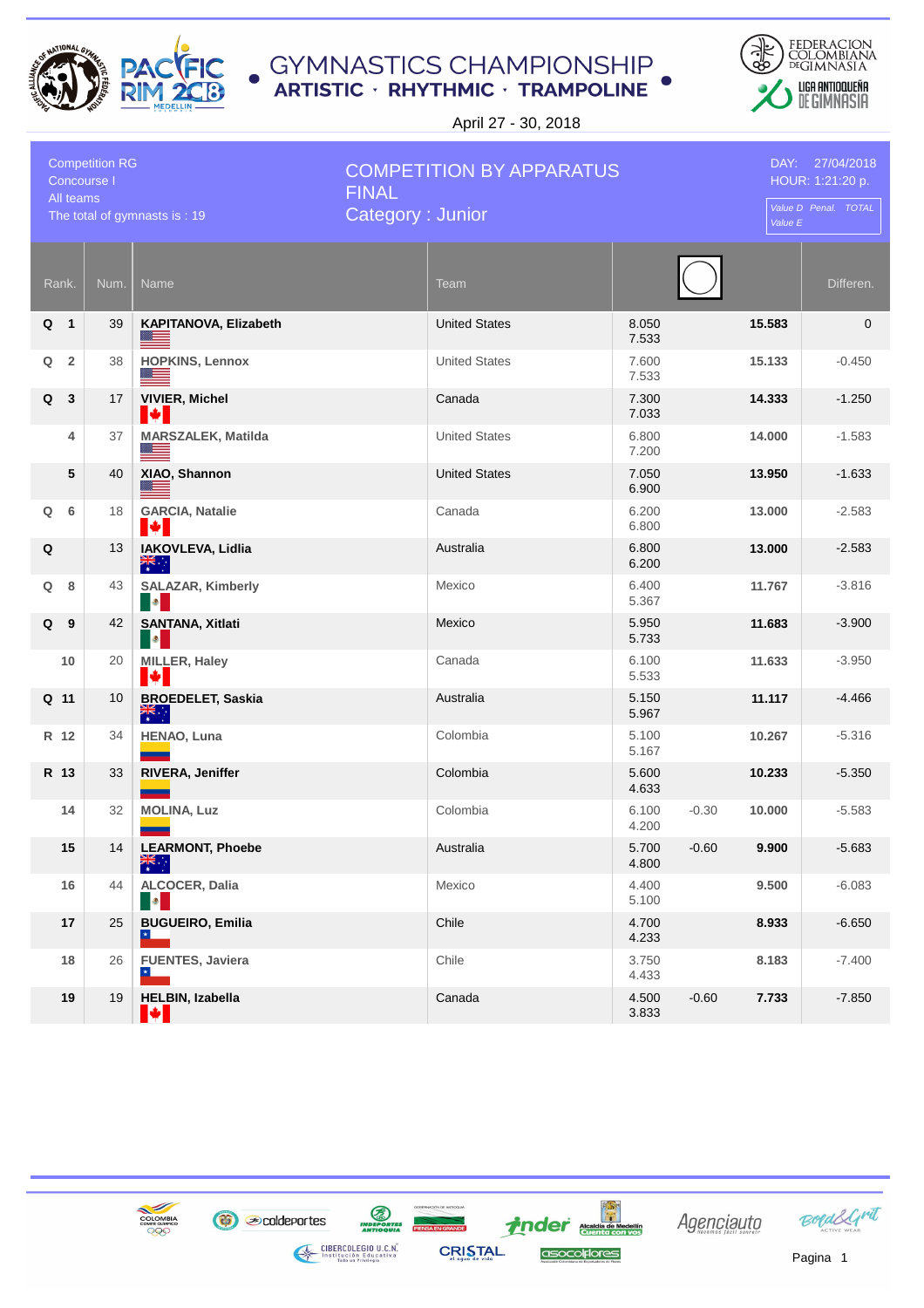



April 27 - 30, 2018

| <b>Competition RG</b><br>Concourse I<br>All teams |                |      |                                                  | <b>COMPETITION BY APPARATUS</b><br><b>FINAL</b> |                |         | DAY: 27/04/2018<br>HOUR: 1:21:20 p. |             |  |
|---------------------------------------------------|----------------|------|--------------------------------------------------|-------------------------------------------------|----------------|---------|-------------------------------------|-------------|--|
| The total of gymnasts is: 19                      |                |      |                                                  | Category: Junior                                |                |         | Value D Penal. TOTAL<br>Value E     |             |  |
|                                                   | Rank.          | Num. | <b>Name</b>                                      | Team                                            |                |         |                                     | Differen.   |  |
|                                                   | Q 1            | 39   | KAPITANOVA, Elizabeth                            | <b>United States</b>                            | 8.050<br>7.533 |         | 15.583                              | $\mathbf 0$ |  |
| Q                                                 | $\overline{2}$ | 38   | <b>HOPKINS, Lennox</b><br>≝                      | <b>United States</b>                            | 7.600<br>7.533 |         | 15.133                              | $-0.450$    |  |
| Q                                                 | 3              | 17   | <b>VIVIER, Michel</b><br>K.                      | Canada                                          | 7.300<br>7.033 |         | 14.333                              | $-1.250$    |  |
|                                                   | 4              | 37   | <b>MARSZALEK, Matilda</b><br><u> a l</u>         | <b>United States</b>                            | 6.800<br>7.200 |         | 14.000                              | $-1.583$    |  |
|                                                   | 5              | 40   | XIAO, Shannon<br>▓▏                              | <b>United States</b>                            | 7.050<br>6.900 |         | 13.950                              | $-1.633$    |  |
| Q                                                 | 6              | 18   | <b>GARCIA, Natalie</b><br>K.                     | Canada                                          | 6.200<br>6.800 |         | 13.000                              | $-2.583$    |  |
| Q                                                 |                | 13   | IAKOVLEVA, Lidlia<br>$rac{2}{\pi}$               | Australia                                       | 6.800<br>6.200 |         | 13.000                              | $-2.583$    |  |
| Q                                                 | 8              | 43   | SALAZAR, Kimberly<br><b>B</b>                    | Mexico                                          | 6.400<br>5.367 |         | 11.767                              | $-3.816$    |  |
| Q                                                 | - 9            | 42   | <b>SANTANA, Xitlati</b><br><b>B</b>              | Mexico                                          | 5.950<br>5.733 |         | 11.683                              | $-3.900$    |  |
|                                                   | 10             | 20   | <b>MILLER, Haley</b><br>I÷I                      | Canada                                          | 6.100<br>5.533 |         | 11.633                              | $-3.950$    |  |
|                                                   | Q 11           | 10   | <b>BROEDELET, Saskia</b><br>$\frac{1}{\sqrt{2}}$ | Australia                                       | 5.150<br>5.967 |         | 11.117                              | $-4.466$    |  |
|                                                   | R 12           | 34   | HENAO, Luna                                      | Colombia                                        | 5.100<br>5.167 |         | 10.267                              | $-5.316$    |  |
|                                                   | R 13           | 33   | <b>RIVERA, Jeniffer</b>                          | Colombia                                        | 5.600<br>4.633 |         | 10.233                              | $-5.350$    |  |
|                                                   | 14             | 32   | <b>MOLINA, Luz</b>                               | Colombia                                        | 6.100<br>4.200 | $-0.30$ | 10.000                              | $-5.583$    |  |
|                                                   | 15             | 14   | <b>LEARMONT, Phoebe</b><br>業務                    | Australia                                       | 5.700<br>4.800 | $-0.60$ | 9.900                               | $-5.683$    |  |
|                                                   | 16             | 44   | ALCOCER, Dalia<br><b>B</b>                       | Mexico                                          | 4.400<br>5.100 |         | 9.500                               | $-6.083$    |  |
|                                                   | 17             | 25   | <b>BUGUEIRO, Emilia</b>                          | Chile                                           | 4.700<br>4.233 |         | 8.933                               | $-6.650$    |  |
|                                                   | 18             | 26   | <b>FUENTES, Javiera</b>                          | Chile                                           | 3.750<br>4.433 |         | 8.183                               | $-7.400$    |  |
|                                                   | 19             | 19   | <b>HELBIN, Izabella</b><br>М                     | Canada                                          | 4.500<br>3.833 | $-0.60$ | 7.733                               | $-7.850$    |  |

*inder* Academia de Medellín

asocolplores

**S**<br>INDEPORTES

**CRISTAL** 

**CIBERCOLEGIO U.C.N.**<br>Institución Educativa<br>Indo un Prívilegio



**B** coldeportes

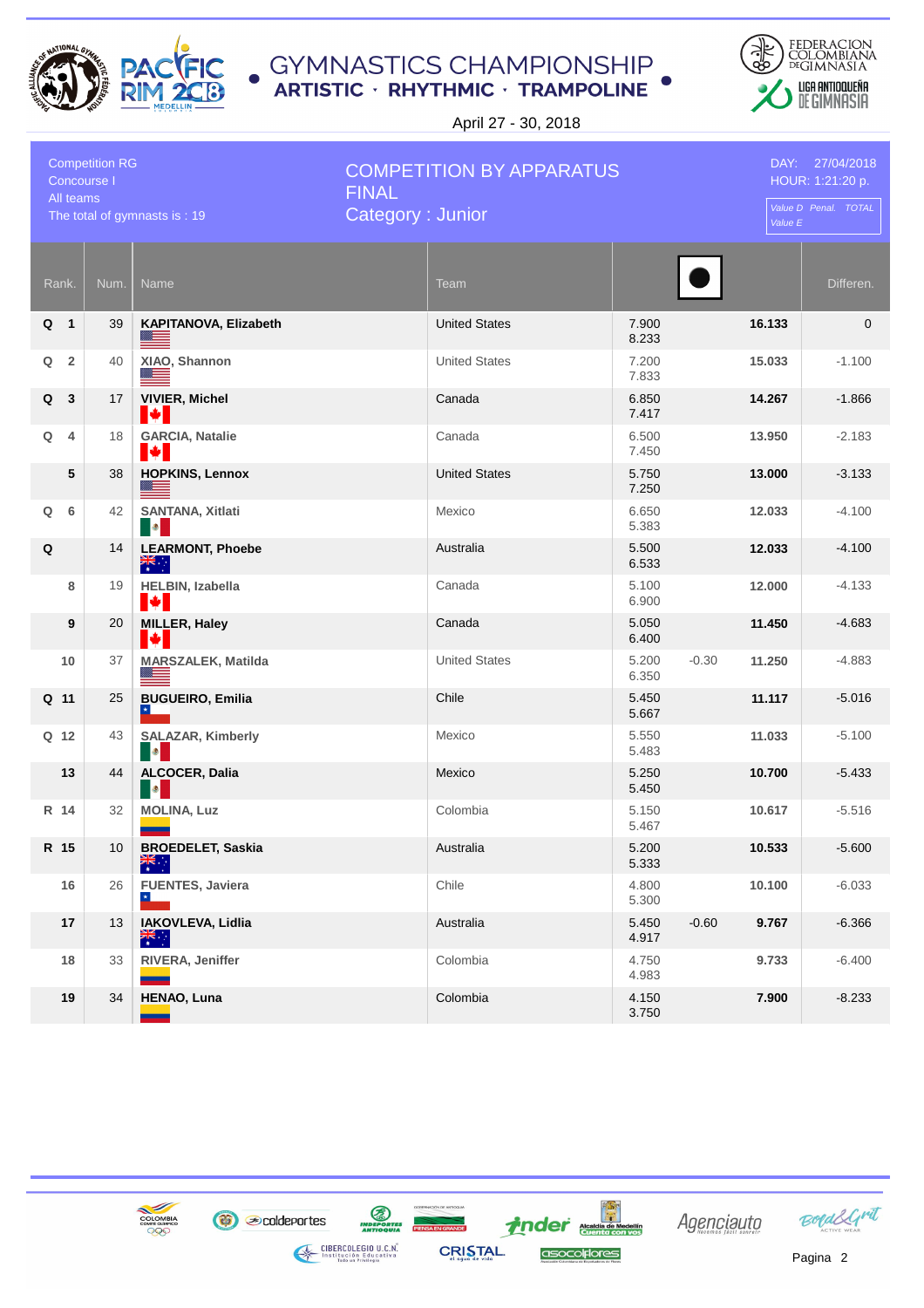



April 27 - 30, 2018

| <b>Competition RG</b><br>Concourse I<br>All teams |                |                 |                                                  | <b>COMPETITION BY APPARATUS</b><br><b>FINAL</b> |                |         | DAY: 27/04/2018<br>HOUR: 1:21:20 p.<br>Value D Penal. TOTAL |             |  |
|---------------------------------------------------|----------------|-----------------|--------------------------------------------------|-------------------------------------------------|----------------|---------|-------------------------------------------------------------|-------------|--|
| The total of gymnasts is: 19                      |                |                 |                                                  | Category: Junior                                |                |         | Value E                                                     |             |  |
|                                                   | Rank.          | Num.            | Name                                             | Team                                            |                |         |                                                             | Differen.   |  |
|                                                   | Q 1            | 39              | KAPITANOVA, Elizabeth                            | <b>United States</b>                            | 7.900<br>8.233 |         | 16.133                                                      | $\mathbf 0$ |  |
| Q                                                 | $\overline{2}$ | 40              | XIAO, Shannon                                    | <b>United States</b>                            | 7.200<br>7.833 |         | 15.033                                                      | $-1.100$    |  |
| Q                                                 | $\mathbf{3}$   | 17              | <b>VIVIER, Michel</b><br>K.                      | Canada                                          | 6.850<br>7.417 |         | 14.267                                                      | $-1.866$    |  |
| Q                                                 | 4              | 18              | <b>GARCIA, Natalie</b><br>IM I                   | Canada                                          | 6.500<br>7.450 |         | 13.950                                                      | $-2.183$    |  |
|                                                   | 5              | 38              | <b>HOPKINS, Lennox</b><br>▓▆▅                    | <b>United States</b>                            | 5.750<br>7.250 |         | 13.000                                                      | $-3.133$    |  |
| Q                                                 | 6              | 42              | <b>SANTANA, Xitlati</b><br><b>B</b>              | Mexico                                          | 6.650<br>5.383 |         | 12.033                                                      | $-4.100$    |  |
| Q                                                 |                | 14              | <b>LEARMONT, Phoebe</b><br>$rac{2}{\pi}$         | Australia                                       | 5.500<br>6.533 |         | 12.033                                                      | $-4.100$    |  |
|                                                   | 8              | 19              | <b>HELBIN, Izabella</b><br>I÷I                   | Canada                                          | 5.100<br>6.900 |         | 12.000                                                      | $-4.133$    |  |
|                                                   | 9              | 20              | <b>MILLER, Haley</b><br>M                        | Canada                                          | 5.050<br>6.400 |         | 11.450                                                      | $-4.683$    |  |
|                                                   | 10             | 37              | <b>MARSZALEK, Matilda</b><br>▀                   | <b>United States</b>                            | 5.200<br>6.350 | $-0.30$ | 11.250                                                      | $-4.883$    |  |
|                                                   | Q 11           | 25              | <b>BUGUEIRO, Emilia</b><br>$\vert \star \vert$   | Chile                                           | 5.450<br>5.667 |         | 11.117                                                      | $-5.016$    |  |
|                                                   | Q 12           | 43              | <b>SALAZAR, Kimberly</b><br><b>B</b>             | Mexico                                          | 5.550<br>5.483 |         | 11.033                                                      | $-5.100$    |  |
|                                                   | 13             | 44              | ALCOCER, Dalia<br>$\bullet$                      | Mexico                                          | 5.250<br>5.450 |         | 10.700                                                      | $-5.433$    |  |
|                                                   | R 14           | 32              | <b>MOLINA, Luz</b>                               | Colombia                                        | 5.150<br>5.467 |         | 10.617                                                      | $-5.516$    |  |
|                                                   | R 15           | 10 <sup>1</sup> | <b>BROEDELET, Saskia</b><br>$\frac{1}{\sqrt{2}}$ | Australia                                       | 5.200<br>5.333 |         | 10.533                                                      | $-5.600$    |  |
|                                                   | 16             | 26              | <b>FUENTES, Javiera</b>                          | Chile                                           | 4.800<br>5.300 |         | 10.100                                                      | $-6.033$    |  |
|                                                   | 17             | 13              | IAKOVLEVA, Lidlia<br>$\overline{\mathbf{r}}$     | Australia                                       | 5.450<br>4.917 | $-0.60$ | 9.767                                                       | $-6.366$    |  |
|                                                   | 18             | 33              | RIVERA, Jeniffer                                 | Colombia                                        | 4.750<br>4.983 |         | 9.733                                                       | $-6.400$    |  |
|                                                   | 19             | 34              | HENAO, Luna                                      | Colombia                                        | 4.150<br>3.750 |         | 7.900                                                       | $-8.233$    |  |

*inder* Academia de Medellín

asocolplores

**S**<br>INDEPORTES

**CRISTAL** 

**CIBERCOLEGIO U.C.N.**<br>Institución Educativa<br>Indo un Prívilegio



**B** coldeportes

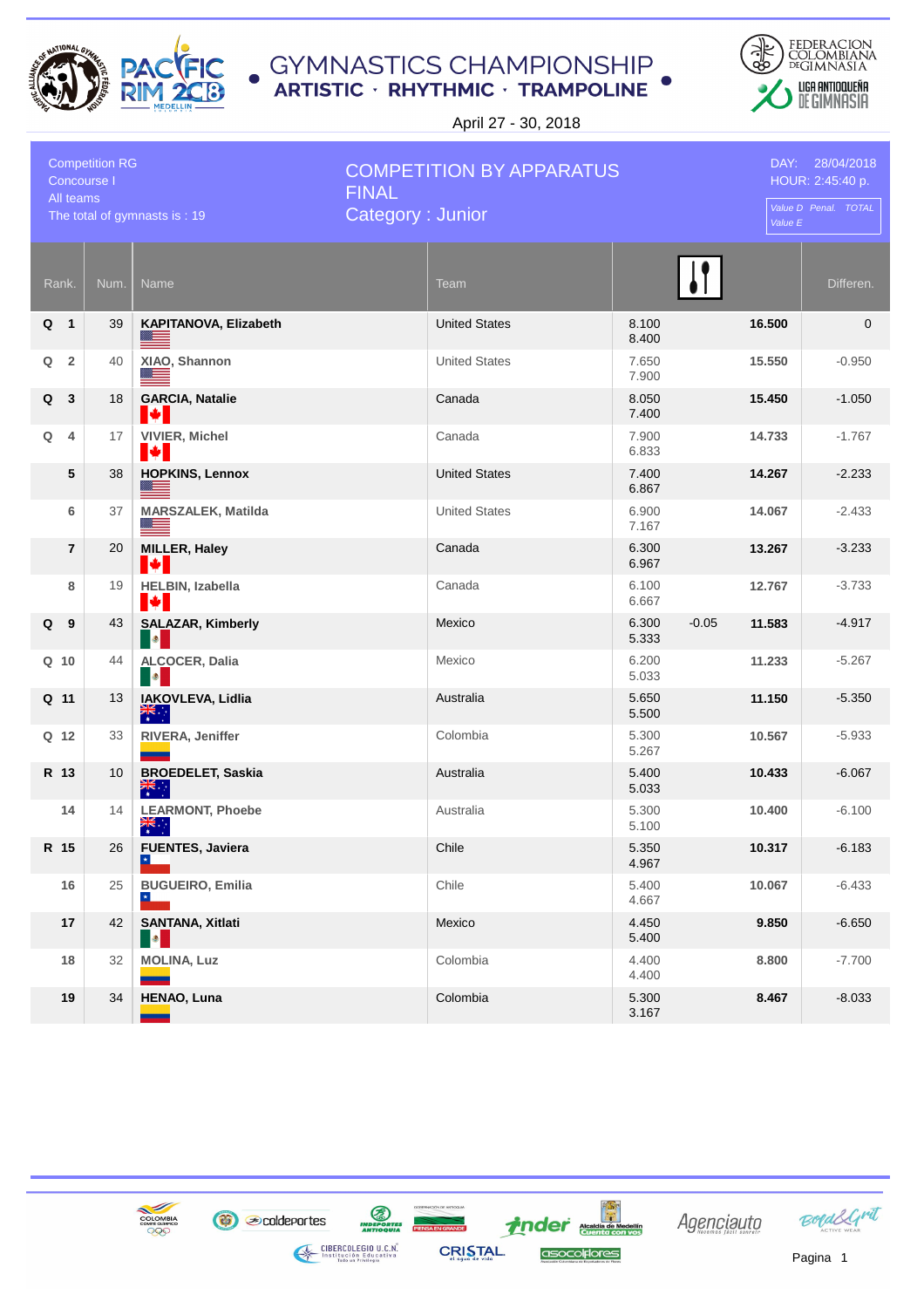



April 27 - 30, 2018

| <b>Competition RG</b><br>Concourse I<br>All teams |                         |      |                                                  | <b>COMPETITION BY APPARATUS</b><br><b>FINAL</b> |                |         | DAY: 28/04/2018<br>HOUR: 2:45:40 p. |                      |
|---------------------------------------------------|-------------------------|------|--------------------------------------------------|-------------------------------------------------|----------------|---------|-------------------------------------|----------------------|
| The total of gymnasts is: 19                      |                         |      |                                                  | Category: Junior                                |                |         | Value E                             | Value D Penal. TOTAL |
|                                                   | Rank.                   | Num. | Name                                             | <b>Team</b>                                     |                |         |                                     | Differen.            |
| Q                                                 | $\overline{\mathbf{1}}$ | 39   | KAPITANOVA, Elizabeth<br>$\equiv$                | <b>United States</b>                            | 8.100<br>8.400 |         | 16.500                              | $\mathbf 0$          |
| Q                                                 | $\overline{2}$          | 40   | XIAO, Shannon<br><u> a</u>                       | <b>United States</b>                            | 7.650<br>7.900 |         | 15.550                              | $-0.950$             |
| Q                                                 | $\mathbf{3}$            | 18   | <b>GARCIA, Natalie</b><br>I¥I                    | Canada                                          | 8.050<br>7.400 |         | 15.450                              | $-1.050$             |
| Q                                                 | 4                       | 17   | <b>VIVIER, Michel</b><br>H                       | Canada                                          | 7.900<br>6.833 |         | 14.733                              | $-1.767$             |
|                                                   | 5                       | 38   | <b>HOPKINS, Lennox</b><br>$\frac{m}{2}$          | <b>United States</b>                            | 7.400<br>6.867 |         | 14.267                              | $-2.233$             |
|                                                   | 6                       | 37   | <b>MARSZALEK, Matilda</b><br>Ø.                  | <b>United States</b>                            | 6.900<br>7.167 |         | 14.067                              | $-2.433$             |
|                                                   | 7                       | 20   | <b>MILLER, Haley</b><br>H                        | Canada                                          | 6.300<br>6.967 |         | 13.267                              | $-3.233$             |
|                                                   | 8                       | 19   | HELBIN, Izabella<br>H                            | Canada                                          | 6.100<br>6.667 |         | 12.767                              | $-3.733$             |
| Q                                                 | - 9                     | 43   | <b>SALAZAR, Kimberly</b><br>I O <mark>l</mark>   | Mexico                                          | 6.300<br>5.333 | $-0.05$ | 11.583                              | $-4.917$             |
|                                                   | $Q$ 10                  | 44   | ALCOCER, Dalia<br><b>B</b>                       | Mexico                                          | 6.200<br>5.033 |         | 11.233                              | $-5.267$             |
|                                                   | Q 11                    | 13   | IAKOVLEVA, Lidlia<br>$rac{1}{\sqrt{2}}$          | Australia                                       | 5.650<br>5.500 |         | 11.150                              | $-5.350$             |
|                                                   | Q 12                    | 33   | RIVERA, Jeniffer<br><b>Contract</b>              | Colombia                                        | 5.300<br>5.267 |         | 10.567                              | $-5.933$             |
|                                                   | R 13                    | 10   | <b>BROEDELET, Saskia</b><br>$\frac{1}{\sqrt{2}}$ | Australia                                       | 5.400<br>5.033 |         | 10.433                              | $-6.067$             |
|                                                   | 14                      | 14   | <b>LEARMONT, Phoebe</b><br>$\frac{2}{\sqrt{2}}$  | Australia                                       | 5.300<br>5.100 |         | 10.400                              | $-6.100$             |
|                                                   | R 15                    | 26   | <b>FUENTES, Javiera</b><br>$\mathbf{H}$          | Chile                                           | 5.350<br>4.967 |         | 10.317                              | $-6.183$             |
|                                                   | 16                      | 25   | <b>BUGUEIRO, Emilia</b><br>$\star$               | Chile                                           | 5.400<br>4.667 |         | 10.067                              | $-6.433$             |
|                                                   | 17                      | 42   | <b>SANTANA, Xitlati</b><br><b>DO</b>             | Mexico                                          | 4.450<br>5.400 |         | 9.850                               | $-6.650$             |
|                                                   | 18                      | 32   | <b>MOLINA, Luz</b>                               | Colombia                                        | 4.400<br>4.400 |         | 8.800                               | $-7.700$             |
|                                                   | 19                      | 34   | <b>HENAO, Luna</b>                               | Colombia                                        | 5.300<br>3.167 |         | 8.467                               | $-8.033$             |

*inder* Academia de Medellín

asocolplores

**ED**<br>INDEPORTES

**CRISTAL** 

**CIBERCOLEGIO U.C.N.**<br>Institución Educativa<br>Indo un Prívilegio



**B** coldeportes